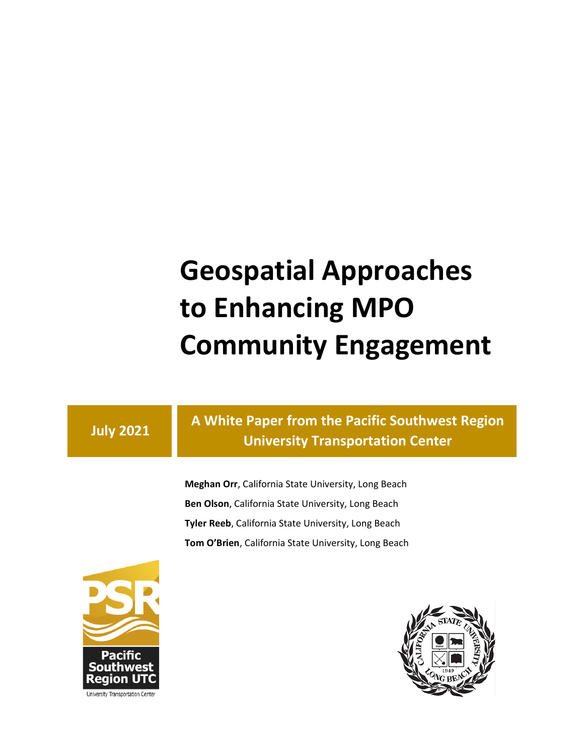# **Geospatial Approaches to Enhancing MPO Community Engagement**

### **July 2021**

**A White Paper from the Pacific Southwest Region University Transportation Center**

**Meghan Orr**, California State University, Long Beach **Ben Olson**, California State University, Long Beach **Tyler Reeb**, California State University, Long Beach **Tom O'Brien**, California State University, Long Beach



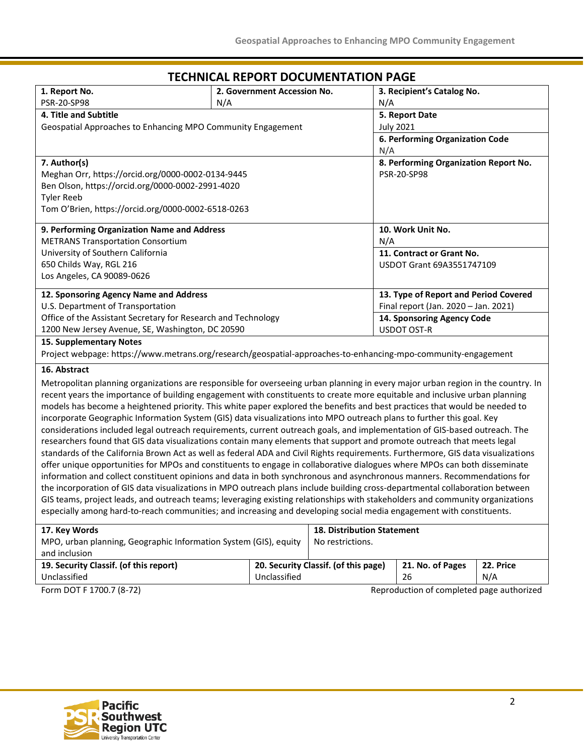#### **1. Report No.** PSR-20-SP98 **2. Government Accession No.** N/A **3. Recipient's Catalog No.** N/A **4. Title and Subtitle** Geospatial Approaches to Enhancing MPO Community Engagement **5. Report Date** July 2021 **6. Performing Organization Code**  N/A **7. Author(s)** Meghan Orr, https://orcid.org/0000-0002-0134-9445 Ben Olson, https://orcid.org/0000-0002-2991-4020 Tyler Reeb Tom O'Brien, https://orcid.org/0000-0002-6518-0263 **8. Performing Organization Report No.**  PSR-20-SP98 **9. Performing Organization Name and Address** METRANS Transportation Consortium University of Southern California 650 Childs Way, RGL 216 Los Angeles, CA 90089-0626 **10. Work Unit No.** N/A **11. Contract or Grant No.** USDOT Grant 69A3551747109 **12. Sponsoring Agency Name and Address** U.S. Department of Transportation Office of the Assistant Secretary for Research and Technology 1200 New Jersey Avenue, SE, Washington, DC 20590 **13. Type of Report and Period Covered** Final report (Jan. 2020 – Jan. 2021) **14. Sponsoring Agency Code** USDOT OST-R **15. Supplementary Notes** Project webpage: https://www.metrans.org/research/geospatial-approaches-to-enhancing-mpo-community-engagement

#### **TECHNICAL REPORT DOCUMENTATION PAGE**

#### **16. Abstract**

Metropolitan planning organizations are responsible for overseeing urban planning in every major urban region in the country. In recent years the importance of building engagement with constituents to create more equitable and inclusive urban planning models has become a heightened priority. This white paper explored the benefits and best practices that would be needed to incorporate Geographic Information System (GIS) data visualizations into MPO outreach plans to further this goal. Key considerations included legal outreach requirements, current outreach goals, and implementation of GIS-based outreach. The researchers found that GIS data visualizations contain many elements that support and promote outreach that meets legal standards of the California Brown Act as well as federal ADA and Civil Rights requirements. Furthermore, GIS data visualizations offer unique opportunities for MPOs and constituents to engage in collaborative dialogues where MPOs can both disseminate information and collect constituent opinions and data in both synchronous and asynchronous manners. Recommendations for the incorporation of GIS data visualizations in MPO outreach plans include building cross-departmental collaboration between GIS teams, project leads, and outreach teams; leveraging existing relationships with stakeholders and community organizations especially among hard-to-reach communities; and increasing and developing social media engagement with constituents.

| 17. Key Words                                                                     |                                           | <b>18. Distribution Statement</b> |                  |           |
|-----------------------------------------------------------------------------------|-------------------------------------------|-----------------------------------|------------------|-----------|
| MPO, urban planning, Geographic Information System (GIS), equity<br>and inclusion |                                           | No restrictions.                  |                  |           |
| 19. Security Classif. (of this report)                                            | 20. Security Classif. (of this page)      |                                   | 21. No. of Pages | 22. Price |
| Unclassified                                                                      | Unclassified                              |                                   | 26               | N/A       |
| Form DOT F 1700.7 (8-72)                                                          | Reproduction of completed page authorized |                                   |                  |           |

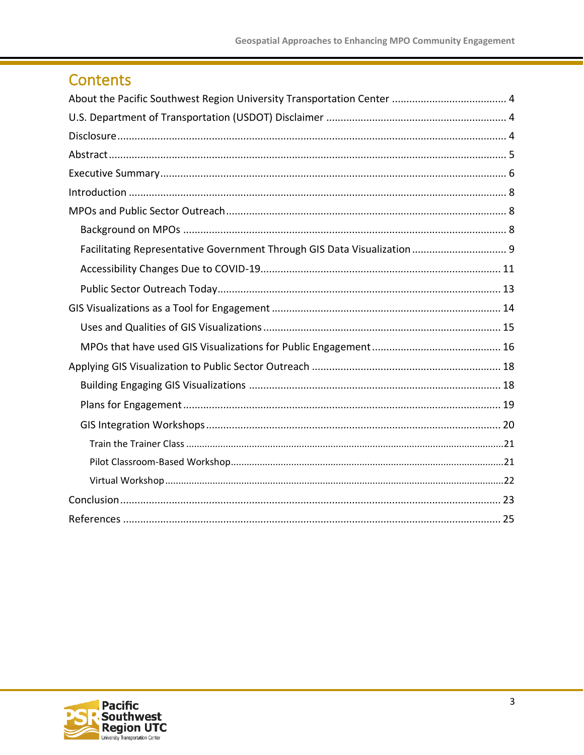### Contents

| Facilitating Representative Government Through GIS Data Visualization  9 |
|--------------------------------------------------------------------------|
|                                                                          |
|                                                                          |
|                                                                          |
|                                                                          |
|                                                                          |
|                                                                          |
|                                                                          |
|                                                                          |
|                                                                          |
|                                                                          |
|                                                                          |
|                                                                          |
|                                                                          |
|                                                                          |

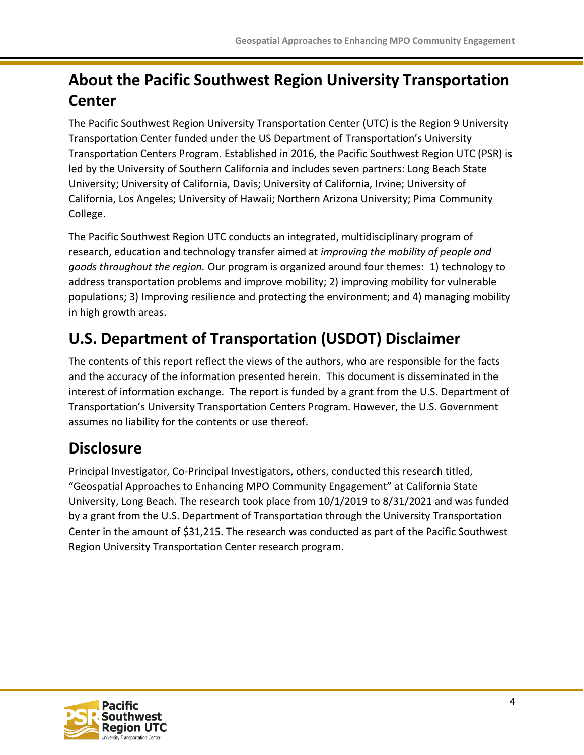### <span id="page-3-0"></span>**About the Pacific Southwest Region University Transportation Center**

The Pacific Southwest Region University Transportation Center (UTC) is the Region 9 University Transportation Center funded under the US Department of Transportation's University Transportation Centers Program. Established in 2016, the Pacific Southwest Region UTC (PSR) is led by the University of Southern California and includes seven partners: Long Beach State University; University of California, Davis; University of California, Irvine; University of California, Los Angeles; University of Hawaii; Northern Arizona University; Pima Community College.

The Pacific Southwest Region UTC conducts an integrated, multidisciplinary program of research, education and technology transfer aimed at *improving the mobility of people and goods throughout the region.* Our program is organized around four themes: 1) technology to address transportation problems and improve mobility; 2) improving mobility for vulnerable populations; 3) Improving resilience and protecting the environment; and 4) managing mobility in high growth areas.

### <span id="page-3-1"></span>**U.S. Department of Transportation (USDOT) Disclaimer**

The contents of this report reflect the views of the authors, who are responsible for the facts and the accuracy of the information presented herein. This document is disseminated in the interest of information exchange. The report is funded by a grant from the U.S. Department of Transportation's University Transportation Centers Program. However, the U.S. Government assumes no liability for the contents or use thereof.

### <span id="page-3-2"></span>**Disclosure**

<span id="page-3-3"></span>Principal Investigator, Co-Principal Investigators, others, conducted this research titled, "Geospatial Approaches to Enhancing MPO Community Engagement" at California State University, Long Beach. The research took place from 10/1/2019 to 8/31/2021 and was funded by a grant from the U.S. Department of Transportation through the University Transportation Center in the amount of \$31,215. The research was conducted as part of the Pacific Southwest Region University Transportation Center research program.

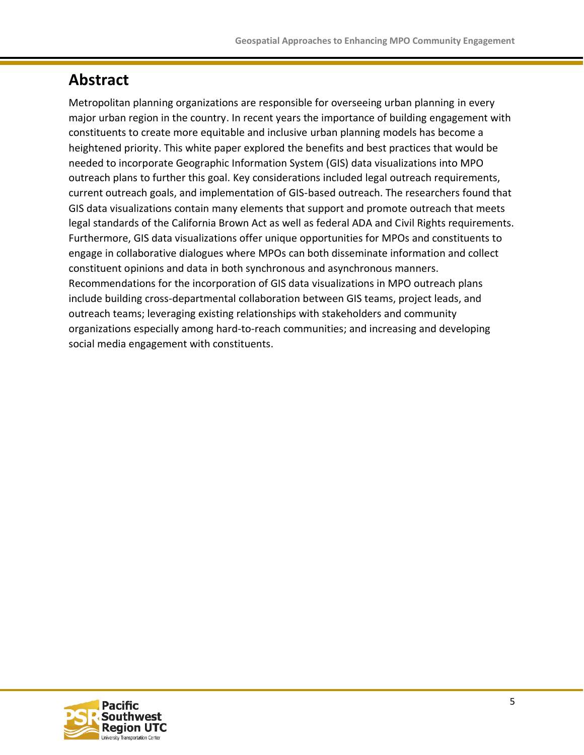### **Abstract**

Metropolitan planning organizations are responsible for overseeing urban planning in every major urban region in the country. In recent years the importance of building engagement with constituents to create more equitable and inclusive urban planning models has become a heightened priority. This white paper explored the benefits and best practices that would be needed to incorporate Geographic Information System (GIS) data visualizations into MPO outreach plans to further this goal. Key considerations included legal outreach requirements, current outreach goals, and implementation of GIS-based outreach. The researchers found that GIS data visualizations contain many elements that support and promote outreach that meets legal standards of the California Brown Act as well as federal ADA and Civil Rights requirements. Furthermore, GIS data visualizations offer unique opportunities for MPOs and constituents to engage in collaborative dialogues where MPOs can both disseminate information and collect constituent opinions and data in both synchronous and asynchronous manners. Recommendations for the incorporation of GIS data visualizations in MPO outreach plans include building cross-departmental collaboration between GIS teams, project leads, and outreach teams; leveraging existing relationships with stakeholders and community organizations especially among hard-to-reach communities; and increasing and developing social media engagement with constituents.

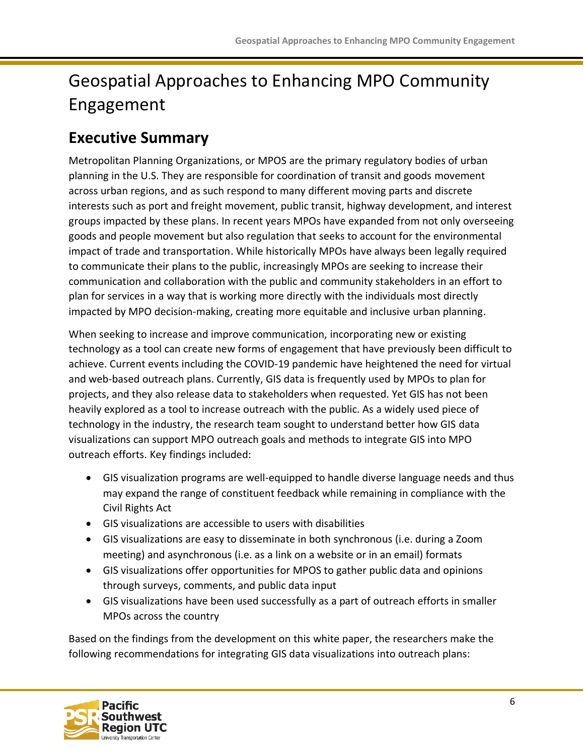## Geospatial Approaches to Enhancing MPO Community Engagement

### <span id="page-5-0"></span>**Executive Summary**

Metropolitan Planning Organizations, or MPOS are the primary regulatory bodies of urban planning in the U.S. They are responsible for coordination of transit and goods movement across urban regions, and as such respond to many different moving parts and discrete interests such as port and freight movement, public transit, highway development, and interest groups impacted by these plans. In recent years MPOs have expanded from not only overseeing goods and people movement but also regulation that seeks to account for the environmental impact of trade and transportation. While historically MPOs have always been legally required to communicate their plans to the public, increasingly MPOs are seeking to increase their communication and collaboration with the public and community stakeholders in an effort to plan for services in a way that is working more directly with the individuals most directly impacted by MPO decision-making, creating more equitable and inclusive urban planning.

When seeking to increase and improve communication, incorporating new or existing technology as a tool can create new forms of engagement that have previously been difficult to achieve. Current events including the COVID-19 pandemic have heightened the need for virtual and web-based outreach plans. Currently, GIS data is frequently used by MPOs to plan for projects, and they also release data to stakeholders when requested. Yet GIS has not been heavily explored as a tool to increase outreach with the public. As a widely used piece of technology in the industry, the research team sought to understand better how GIS data visualizations can support MPO outreach goals and methods to integrate GIS into MPO outreach efforts. Key findings included:

- GIS visualization programs are well-equipped to handle diverse language needs and thus may expand the range of constituent feedback while remaining in compliance with the Civil Rights Act
- GIS visualizations are accessible to users with disabilities
- GIS visualizations are easy to disseminate in both synchronous (i.e. during a Zoom meeting) and asynchronous (i.e. as a link on a website or in an email) formats
- GIS visualizations offer opportunities for MPOS to gather public data and opinions through surveys, comments, and public data input
- GIS visualizations have been used successfully as a part of outreach efforts in smaller MPOs across the country

Based on the findings from the development on this white paper, the researchers make the following recommendations for integrating GIS data visualizations into outreach plans:

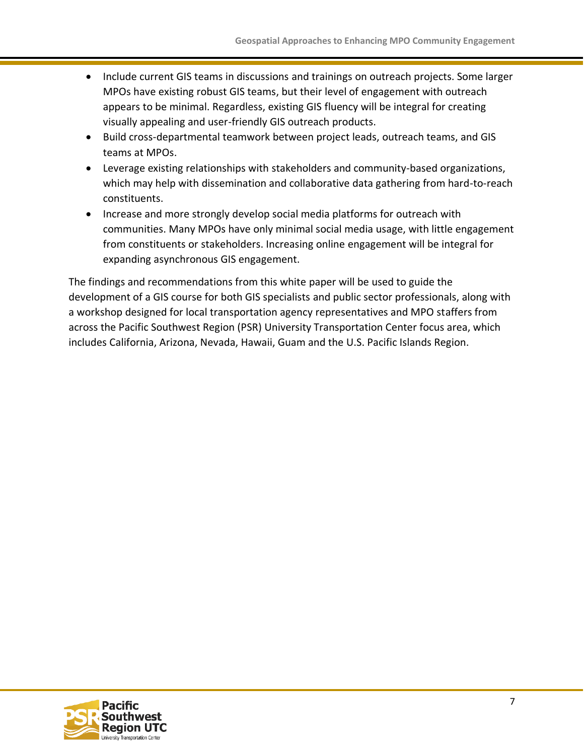- Include current GIS teams in discussions and trainings on outreach projects. Some larger MPOs have existing robust GIS teams, but their level of engagement with outreach appears to be minimal. Regardless, existing GIS fluency will be integral for creating visually appealing and user-friendly GIS outreach products.
- Build cross-departmental teamwork between project leads, outreach teams, and GIS teams at MPOs.
- Leverage existing relationships with stakeholders and community-based organizations, which may help with dissemination and collaborative data gathering from hard-to-reach constituents.
- Increase and more strongly develop social media platforms for outreach with communities. Many MPOs have only minimal social media usage, with little engagement from constituents or stakeholders. Increasing online engagement will be integral for expanding asynchronous GIS engagement.

The findings and recommendations from this white paper will be used to guide the development of a GIS course for both GIS specialists and public sector professionals, along with a workshop designed for local transportation agency representatives and MPO staffers from across the Pacific Southwest Region (PSR) University Transportation Center focus area, which includes California, Arizona, Nevada, Hawaii, Guam and the U.S. Pacific Islands Region.

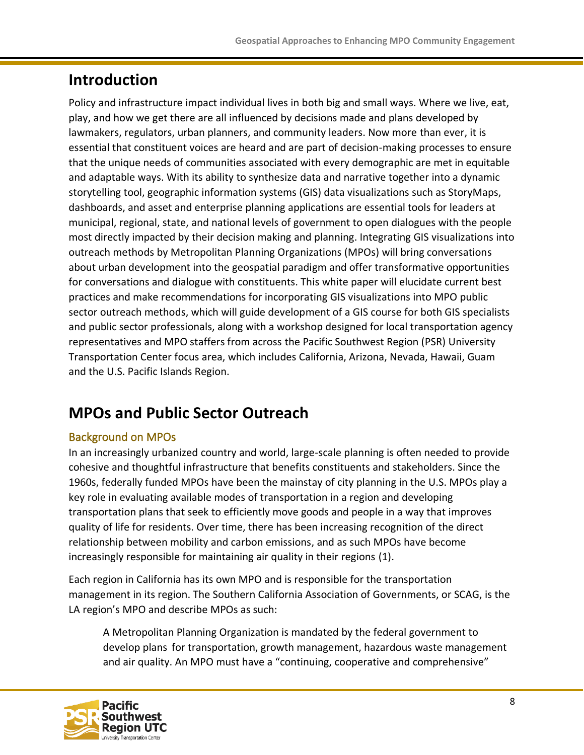### <span id="page-7-0"></span>**Introduction**

Policy and infrastructure impact individual lives in both big and small ways. Where we live, eat, play, and how we get there are all influenced by decisions made and plans developed by lawmakers, regulators, urban planners, and community leaders. Now more than ever, it is essential that constituent voices are heard and are part of decision-making processes to ensure that the unique needs of communities associated with every demographic are met in equitable and adaptable ways. With its ability to synthesize data and narrative together into a dynamic storytelling tool, geographic information systems (GIS) data visualizations such as StoryMaps, dashboards, and asset and enterprise planning applications are essential tools for leaders at municipal, regional, state, and national levels of government to open dialogues with the people most directly impacted by their decision making and planning. Integrating GIS visualizations into outreach methods by Metropolitan Planning Organizations (MPOs) will bring conversations about urban development into the geospatial paradigm and offer transformative opportunities for conversations and dialogue with constituents. This white paper will elucidate current best practices and make recommendations for incorporating GIS visualizations into MPO public sector outreach methods, which will guide development of a GIS course for both GIS specialists and public sector professionals, along with a workshop designed for local transportation agency representatives and MPO staffers from across the Pacific Southwest Region (PSR) University Transportation Center focus area, which includes California, Arizona, Nevada, Hawaii, Guam and the U.S. Pacific Islands Region.

### <span id="page-7-1"></span>**MPOs and Public Sector Outreach**

#### <span id="page-7-2"></span>Background on MPOs

In an increasingly urbanized country and world, large-scale planning is often needed to provide cohesive and thoughtful infrastructure that benefits constituents and stakeholders. Since the 1960s, federally funded MPOs have been the mainstay of city planning in the U.S. MPOs play a key role in evaluating available modes of transportation in a region and developing transportation plans that seek to efficiently move goods and people in a way that improves quality of life for residents. Over time, there has been increasing recognition of the direct relationship between mobility and carbon emissions, and as such MPOs have become increasingly responsible for maintaining air quality in their regions (1).

Each region in California has its own MPO and is responsible for the transportation management in its region. The Southern California Association of Governments, or SCAG, is the LA region's MPO and describe MPOs as such:

A Metropolitan Planning Organization is mandated by the federal government to develop plans for transportation, growth management, hazardous waste management and air quality. An MPO must have a "continuing, cooperative and comprehensive"

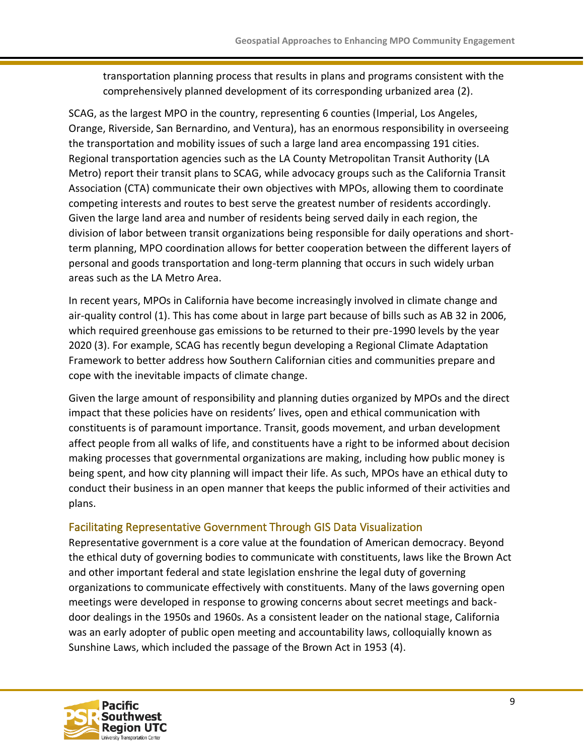transportation planning process that results in plans and programs consistent with the comprehensively planned development of its corresponding urbanized area (2).

SCAG, as the largest MPO in the country, representing 6 counties (Imperial, Los Angeles, Orange, Riverside, San Bernardino, and Ventura), has an enormous responsibility in overseeing the transportation and mobility issues of such a large land area encompassing 191 cities. Regional transportation agencies such as the LA County Metropolitan Transit Authority (LA Metro) report their transit plans to SCAG, while advocacy groups such as the California Transit Association (CTA) communicate their own objectives with MPOs, allowing them to coordinate competing interests and routes to best serve the greatest number of residents accordingly. Given the large land area and number of residents being served daily in each region, the division of labor between transit organizations being responsible for daily operations and shortterm planning, MPO coordination allows for better cooperation between the different layers of personal and goods transportation and long-term planning that occurs in such widely urban areas such as the LA Metro Area.

In recent years, MPOs in California have become increasingly involved in climate change and air-quality control (1). This has come about in large part because of bills such as AB 32 in 2006, which required greenhouse gas emissions to be returned to their pre-1990 levels by the year 2020 (3). For example, SCAG has recently begun developing a Regional Climate Adaptation Framework to better address how Southern Californian cities and communities prepare and cope with the inevitable impacts of climate change.

Given the large amount of responsibility and planning duties organized by MPOs and the direct impact that these policies have on residents' lives, open and ethical communication with constituents is of paramount importance. Transit, goods movement, and urban development affect people from all walks of life, and constituents have a right to be informed about decision making processes that governmental organizations are making, including how public money is being spent, and how city planning will impact their life. As such, MPOs have an ethical duty to conduct their business in an open manner that keeps the public informed of their activities and plans.

#### <span id="page-8-0"></span>Facilitating Representative Government Through GIS Data Visualization

Representative government is a core value at the foundation of American democracy. Beyond the ethical duty of governing bodies to communicate with constituents, laws like the Brown Act and other important federal and state legislation enshrine the legal duty of governing organizations to communicate effectively with constituents. Many of the laws governing open meetings were developed in response to growing concerns about secret meetings and backdoor dealings in the 1950s and 1960s. As a consistent leader on the national stage, California was an early adopter of public open meeting and accountability laws, colloquially known as Sunshine Laws, which included the passage of the Brown Act in 1953 (4).

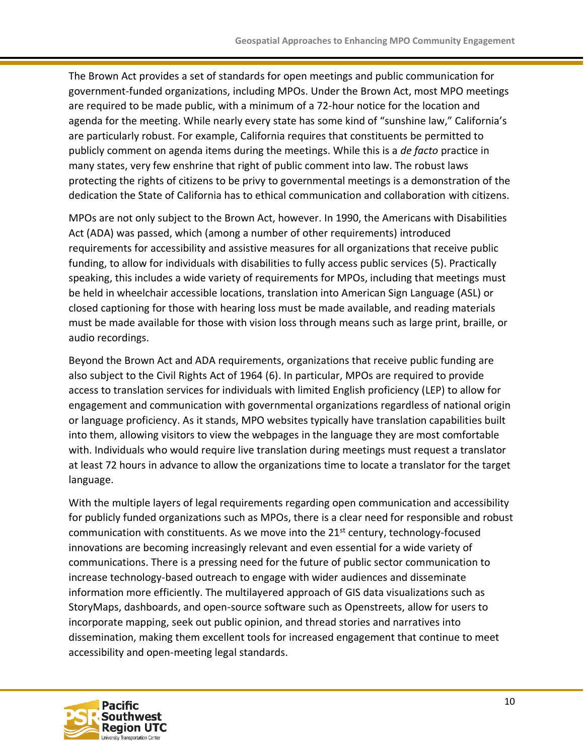The Brown Act provides a set of standards for open meetings and public communication for government-funded organizations, including MPOs. Under the Brown Act, most MPO meetings are required to be made public, with a minimum of a 72-hour notice for the location and agenda for the meeting. While nearly every state has some kind of "sunshine law," California's are particularly robust. For example, California requires that constituents be permitted to publicly comment on agenda items during the meetings. While this is a *de facto* practice in many states, very few enshrine that right of public comment into law. The robust laws protecting the rights of citizens to be privy to governmental meetings is a demonstration of the dedication the State of California has to ethical communication and collaboration with citizens.

MPOs are not only subject to the Brown Act, however. In 1990, the Americans with Disabilities Act (ADA) was passed, which (among a number of other requirements) introduced requirements for accessibility and assistive measures for all organizations that receive public funding, to allow for individuals with disabilities to fully access public services (5). Practically speaking, this includes a wide variety of requirements for MPOs, including that meetings must be held in wheelchair accessible locations, translation into American Sign Language (ASL) or closed captioning for those with hearing loss must be made available, and reading materials must be made available for those with vision loss through means such as large print, braille, or audio recordings.

Beyond the Brown Act and ADA requirements, organizations that receive public funding are also subject to the Civil Rights Act of 1964 (6). In particular, MPOs are required to provide access to translation services for individuals with limited English proficiency (LEP) to allow for engagement and communication with governmental organizations regardless of national origin or language proficiency. As it stands, MPO websites typically have translation capabilities built into them, allowing visitors to view the webpages in the language they are most comfortable with. Individuals who would require live translation during meetings must request a translator at least 72 hours in advance to allow the organizations time to locate a translator for the target language.

With the multiple layers of legal requirements regarding open communication and accessibility for publicly funded organizations such as MPOs, there is a clear need for responsible and robust communication with constituents. As we move into the  $21^{st}$  century, technology-focused innovations are becoming increasingly relevant and even essential for a wide variety of communications. There is a pressing need for the future of public sector communication to increase technology-based outreach to engage with wider audiences and disseminate information more efficiently. The multilayered approach of GIS data visualizations such as StoryMaps, dashboards, and open-source software such as Openstreets, allow for users to incorporate mapping, seek out public opinion, and thread stories and narratives into dissemination, making them excellent tools for increased engagement that continue to meet accessibility and open-meeting legal standards.

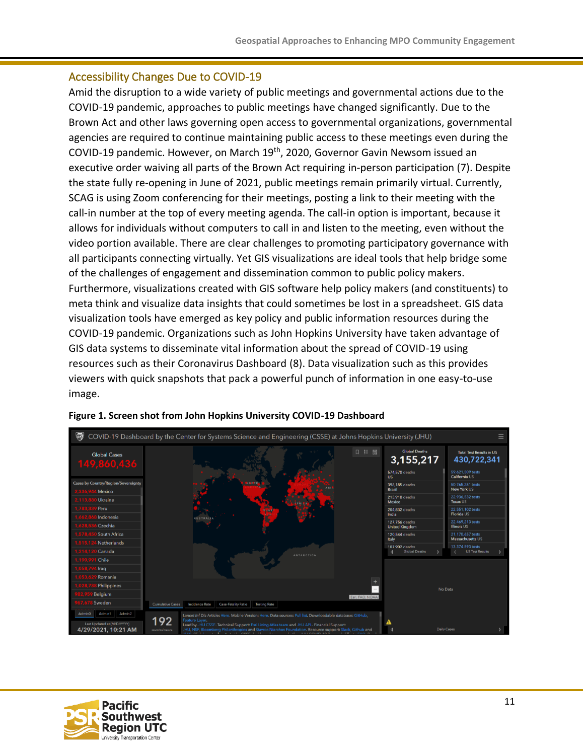#### <span id="page-10-0"></span>Accessibility Changes Due to COVID-19

Amid the disruption to a wide variety of public meetings and governmental actions due to the COVID-19 pandemic, approaches to public meetings have changed significantly. Due to the Brown Act and other laws governing open access to governmental organizations, governmental agencies are required to continue maintaining public access to these meetings even during the COVID-19 pandemic. However, on March 19th, 2020, Governor Gavin Newsom issued an executive order waiving all parts of the Brown Act requiring in-person participation (7). Despite the state fully re-opening in June of 2021, public meetings remain primarily virtual. Currently, SCAG is using Zoom conferencing for their meetings, posting a link to their meeting with the call-in number at the top of every meeting agenda. The call-in option is important, because it allows for individuals without computers to call in and listen to the meeting, even without the video portion available. There are clear challenges to promoting participatory governance with all participants connecting virtually. Yet GIS visualizations are ideal tools that help bridge some of the challenges of engagement and dissemination common to public policy makers. Furthermore, visualizations created with GIS software help policy makers (and constituents) to meta think and visualize data insights that could sometimes be lost in a spreadsheet. GIS data visualization tools have emerged as key policy and public information resources during the COVID-19 pandemic. Organizations such as John Hopkins University have taken advantage of GIS data systems to disseminate vital information about the spread of COVID-19 using resources such as their Coronavirus Dashboard (8). Data visualization such as this provides viewers with quick snapshots that pack a powerful punch of information in one easy-to-use image.





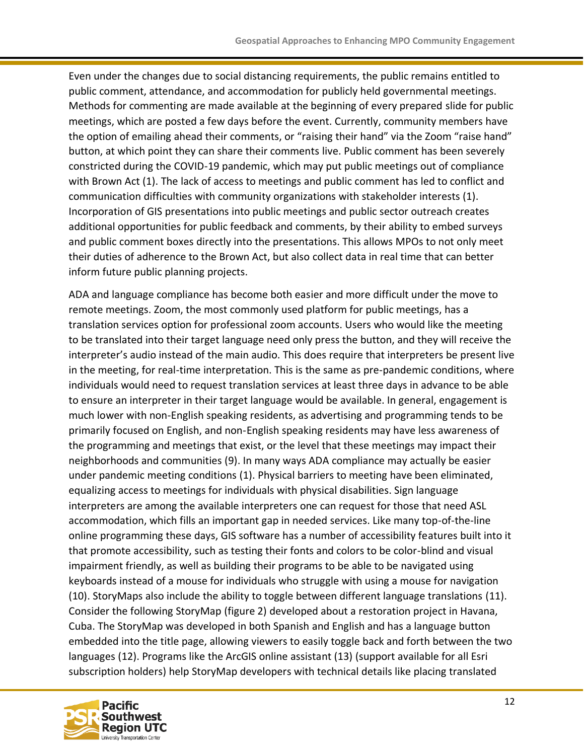Even under the changes due to social distancing requirements, the public remains entitled to public comment, attendance, and accommodation for publicly held governmental meetings. Methods for commenting are made available at the beginning of every prepared slide for public meetings, which are posted a few days before the event. Currently, community members have the option of emailing ahead their comments, or "raising their hand" via the Zoom "raise hand" button, at which point they can share their comments live. Public comment has been severely constricted during the COVID-19 pandemic, which may put public meetings out of compliance with Brown Act (1). The lack of access to meetings and public comment has led to conflict and communication difficulties with community organizations with stakeholder interests (1). Incorporation of GIS presentations into public meetings and public sector outreach creates additional opportunities for public feedback and comments, by their ability to embed surveys and public comment boxes directly into the presentations. This allows MPOs to not only meet their duties of adherence to the Brown Act, but also collect data in real time that can better inform future public planning projects.

ADA and language compliance has become both easier and more difficult under the move to remote meetings. Zoom, the most commonly used platform for public meetings, has a translation services option for professional zoom accounts. Users who would like the meeting to be translated into their target language need only press the button, and they will receive the interpreter's audio instead of the main audio. This does require that interpreters be present live in the meeting, for real-time interpretation. This is the same as pre-pandemic conditions, where individuals would need to request translation services at least three days in advance to be able to ensure an interpreter in their target language would be available. In general, engagement is much lower with non-English speaking residents, as advertising and programming tends to be primarily focused on English, and non-English speaking residents may have less awareness of the programming and meetings that exist, or the level that these meetings may impact their neighborhoods and communities (9). In many ways ADA compliance may actually be easier under pandemic meeting conditions (1). Physical barriers to meeting have been eliminated, equalizing access to meetings for individuals with physical disabilities. Sign language interpreters are among the available interpreters one can request for those that need ASL accommodation, which fills an important gap in needed services. Like many top-of-the-line online programming these days, GIS software has a number of accessibility features built into it that promote accessibility, such as testing their fonts and colors to be color-blind and visual impairment friendly, as well as building their programs to be able to be navigated using keyboards instead of a mouse for individuals who struggle with using a mouse for navigation (10). StoryMaps also include the ability to toggle between different language translations (11). Consider the following StoryMap (figure 2) developed about a restoration project in Havana, Cuba. The StoryMap was developed in both Spanish and English and has a language button embedded into the title page, allowing viewers to easily toggle back and forth between the two languages (12). Programs like the ArcGIS online assistant (13) (support available for all Esri subscription holders) help StoryMap developers with technical details like placing translated

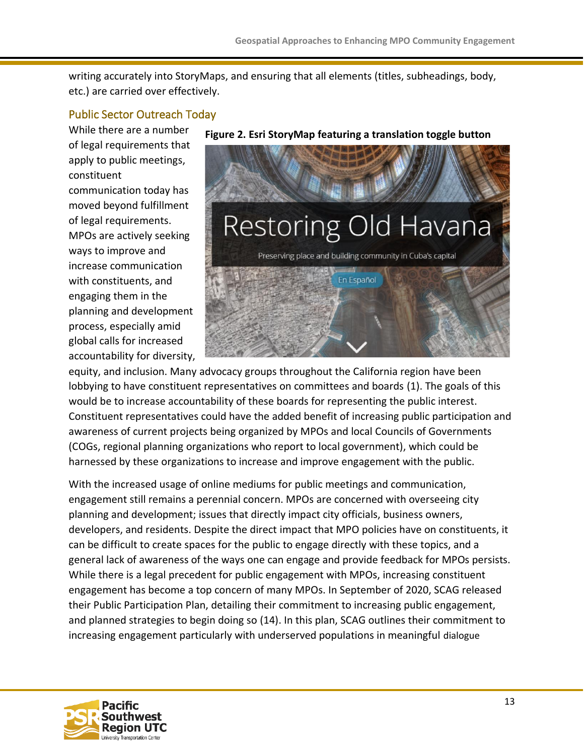writing accurately into StoryMaps, and ensuring that all elements (titles, subheadings, body, etc.) are carried over effectively.

#### <span id="page-12-0"></span>Public Sector Outreach Today

While there are a number of legal requirements that apply to public meetings, constituent communication today has moved beyond fulfillment of legal requirements. MPOs are actively seeking ways to improve and increase communication with constituents, and engaging them in the planning and development process, especially amid global calls for increased accountability for diversity,



equity, and inclusion. Many advocacy groups throughout the California region have been lobbying to have constituent representatives on committees and boards (1). The goals of this would be to increase accountability of these boards for representing the public interest. Constituent representatives could have the added benefit of increasing public participation and awareness of current projects being organized by MPOs and local Councils of Governments (COGs, regional planning organizations who report to local government), which could be harnessed by these organizations to increase and improve engagement with the public.

With the increased usage of online mediums for public meetings and communication, engagement still remains a perennial concern. MPOs are concerned with overseeing city planning and development; issues that directly impact city officials, business owners, developers, and residents. Despite the direct impact that MPO policies have on constituents, it can be difficult to create spaces for the public to engage directly with these topics, and a general lack of awareness of the ways one can engage and provide feedback for MPOs persists. While there is a legal precedent for public engagement with MPOs, increasing constituent engagement has become a top concern of many MPOs. In September of 2020, SCAG released their Public Participation Plan, detailing their commitment to increasing public engagement, and planned strategies to begin doing so (14). In this plan, SCAG outlines their commitment to increasing engagement particularly with underserved populations in meaningful dialogue

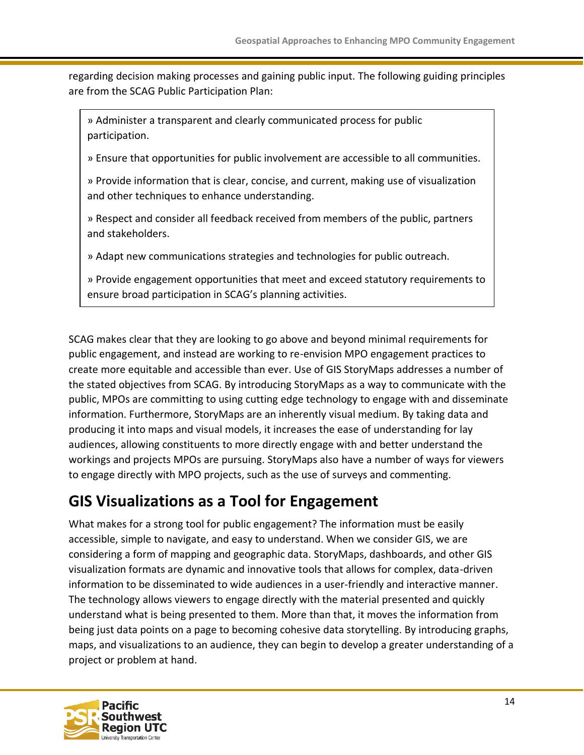regarding decision making processes and gaining public input. The following guiding principles are from the SCAG Public Participation Plan:

» Administer a transparent and clearly communicated process for public participation.

» Ensure that opportunities for public involvement are accessible to all communities.

» Provide information that is clear, concise, and current, making use of visualization and other techniques to enhance understanding.

» Respect and consider all feedback received from members of the public, partners and stakeholders.

» Adapt new communications strategies and technologies for public outreach.

» Provide engagement opportunities that meet and exceed statutory requirements to ensure broad participation in SCAG's planning activities.

SCAG makes clear that they are looking to go above and beyond minimal requirements for public engagement, and instead are working to re-envision MPO engagement practices to create more equitable and accessible than ever. Use of GIS StoryMaps addresses a number of the stated objectives from SCAG. By introducing StoryMaps as a way to communicate with the public, MPOs are committing to using cutting edge technology to engage with and disseminate information. Furthermore, StoryMaps are an inherently visual medium. By taking data and producing it into maps and visual models, it increases the ease of understanding for lay audiences, allowing constituents to more directly engage with and better understand the workings and projects MPOs are pursuing. StoryMaps also have a number of ways for viewers to engage directly with MPO projects, such as the use of surveys and commenting.

### <span id="page-13-0"></span>**GIS Visualizations as a Tool for Engagement**

What makes for a strong tool for public engagement? The information must be easily accessible, simple to navigate, and easy to understand. When we consider GIS, we are considering a form of mapping and geographic data. StoryMaps, dashboards, and other GIS visualization formats are dynamic and innovative tools that allows for complex, data-driven information to be disseminated to wide audiences in a user-friendly and interactive manner. The technology allows viewers to engage directly with the material presented and quickly understand what is being presented to them. More than that, it moves the information from being just data points on a page to becoming cohesive data storytelling. By introducing graphs, maps, and visualizations to an audience, they can begin to develop a greater understanding of a project or problem at hand.

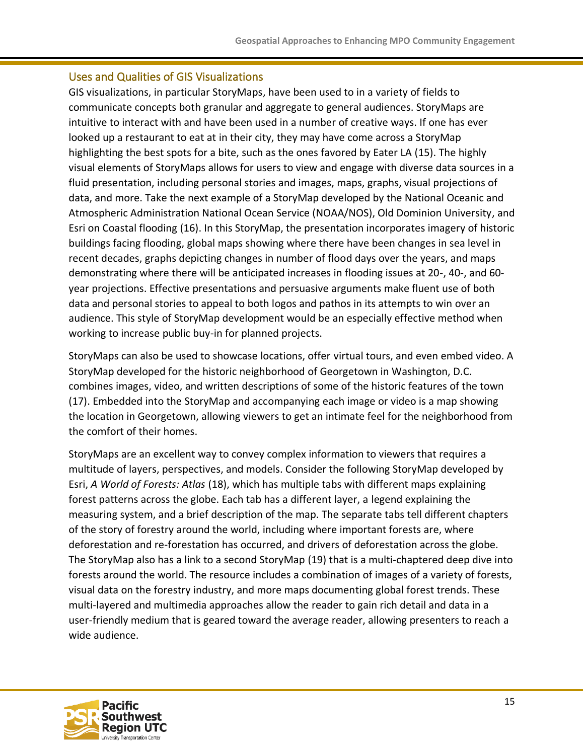#### <span id="page-14-0"></span>Uses and Qualities of GIS Visualizations

GIS visualizations, in particular StoryMaps, have been used to in a variety of fields to communicate concepts both granular and aggregate to general audiences. StoryMaps are intuitive to interact with and have been used in a number of creative ways. If one has ever looked up a restaurant to eat at in their city, they may have come across a StoryMap highlighting the best spots for a bite, such as the ones favored by Eater LA (15). The highly visual elements of StoryMaps allows for users to view and engage with diverse data sources in a fluid presentation, including personal stories and images, maps, graphs, visual projections of data, and more. Take the next example of a StoryMap developed by the National Oceanic and Atmospheric Administration National Ocean Service (NOAA/NOS), Old Dominion University, and Esri on Coastal flooding (16). In this StoryMap, the presentation incorporates imagery of historic buildings facing flooding, global maps showing where there have been changes in sea level in recent decades, graphs depicting changes in number of flood days over the years, and maps demonstrating where there will be anticipated increases in flooding issues at 20-, 40-, and 60 year projections. Effective presentations and persuasive arguments make fluent use of both data and personal stories to appeal to both logos and pathos in its attempts to win over an audience. This style of StoryMap development would be an especially effective method when working to increase public buy-in for planned projects.

StoryMaps can also be used to showcase locations, offer virtual tours, and even embed video. A StoryMap developed for the historic neighborhood of Georgetown in Washington, D.C. combines images, video, and written descriptions of some of the historic features of the town (17). Embedded into the StoryMap and accompanying each image or video is a map showing the location in Georgetown, allowing viewers to get an intimate feel for the neighborhood from the comfort of their homes.

StoryMaps are an excellent way to convey complex information to viewers that requires a multitude of layers, perspectives, and models. Consider the following StoryMap developed by Esri, *A World of Forests: Atlas* (18), which has multiple tabs with different maps explaining forest patterns across the globe. Each tab has a different layer, a legend explaining the measuring system, and a brief description of the map. The separate tabs tell different chapters of the story of forestry around the world, including where important forests are, where deforestation and re-forestation has occurred, and drivers of deforestation across the globe. The StoryMap also has a link to a second StoryMap (19) that is a multi-chaptered deep dive into forests around the world. The resource includes a combination of images of a variety of forests, visual data on the forestry industry, and more maps documenting global forest trends. These multi-layered and multimedia approaches allow the reader to gain rich detail and data in a user-friendly medium that is geared toward the average reader, allowing presenters to reach a wide audience.

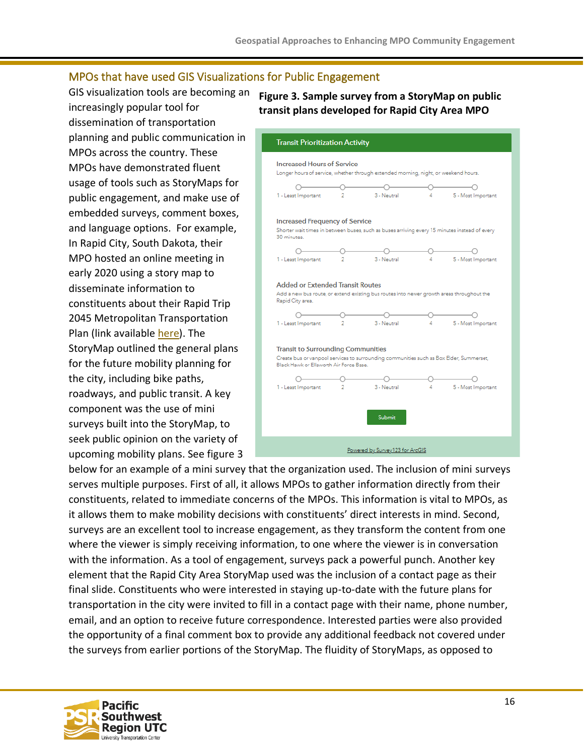#### <span id="page-15-0"></span>MPOs that have used GIS Visualizations for Public Engagement

GIS visualization tools are becoming an increasingly popular tool for dissemination of transportation planning and public communication in MPOs across the country. These MPOs have demonstrated fluent usage of tools such as StoryMaps for public engagement, and make use of embedded surveys, comment boxes, and language options. For example, In Rapid City, South Dakota, their MPO hosted an online meeting in early 2020 using a story map to disseminate information to constituents about their Rapid Trip 2045 Metropolitan Transportation Plan (link available [here\)](https://hdr.maps.arcgis.com/apps/MapSeries/index.html?appid=50f4c4eba3254b1db8ffc8a65e4364ea). The StoryMap outlined the general plans for the future mobility planning for the city, including bike paths, roadways, and public transit. A key component was the use of mini surveys built into the StoryMap, to seek public opinion on the variety of upcoming mobility plans. See figure 3

#### **Figure 3. Sample survey from a StoryMap on public transit plans developed for Rapid City Area MPO**



below for an example of a mini survey that the organization used. The inclusion of mini surveys serves multiple purposes. First of all, it allows MPOs to gather information directly from their constituents, related to immediate concerns of the MPOs. This information is vital to MPOs, as it allows them to make mobility decisions with constituents' direct interests in mind. Second, surveys are an excellent tool to increase engagement, as they transform the content from one where the viewer is simply receiving information, to one where the viewer is in conversation with the information. As a tool of engagement, surveys pack a powerful punch. Another key element that the Rapid City Area StoryMap used was the inclusion of a contact page as their final slide. Constituents who were interested in staying up-to-date with the future plans for transportation in the city were invited to fill in a contact page with their name, phone number, email, and an option to receive future correspondence. Interested parties were also provided the opportunity of a final comment box to provide any additional feedback not covered under the surveys from earlier portions of the StoryMap. The fluidity of StoryMaps, as opposed to

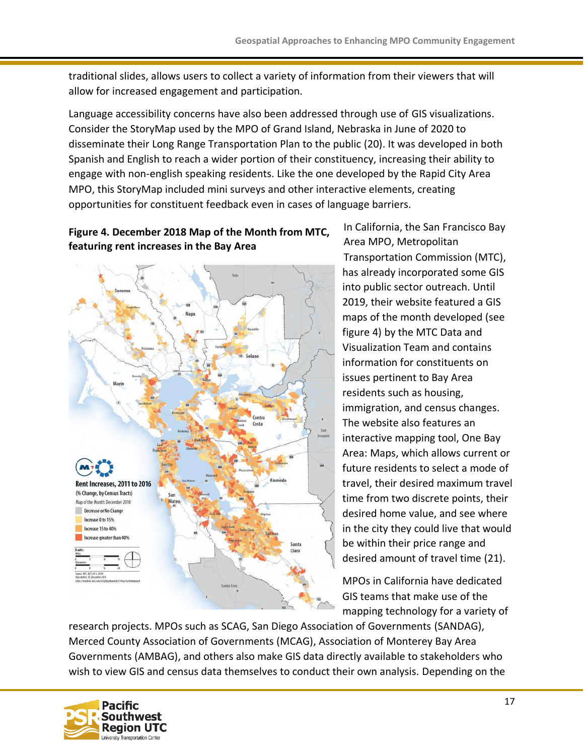traditional slides, allows users to collect a variety of information from their viewers that will allow for increased engagement and participation.

Language accessibility concerns have also been addressed through use of GIS visualizations. Consider the StoryMap used by the MPO of Grand Island, Nebraska in June of 2020 to disseminate their Long Range Transportation Plan to the public (20). It was developed in both Spanish and English to reach a wider portion of their constituency, increasing their ability to engage with non-english speaking residents. Like the one developed by the Rapid City Area MPO, this StoryMap included mini surveys and other interactive elements, creating opportunities for constituent feedback even in cases of language barriers.

#### **Figure 4. December 2018 Map of the Month from MTC, featuring rent increases in the Bay Area**



In California, the San Francisco Bay Area MPO, Metropolitan Transportation Commission (MTC), has already incorporated some GIS into public sector outreach. Until 2019, their website featured a GIS maps of the month developed (see figure 4) by the MTC Data and Visualization Team and contains information for constituents on issues pertinent to Bay Area residents such as housing, immigration, and census changes. The website also features an interactive mapping tool, One Bay Area: Maps, which allows current or future residents to select a mode of travel, their desired maximum travel time from two discrete points, their desired home value, and see where in the city they could live that would be within their price range and desired amount of travel time (21).

MPOs in California have dedicated GIS teams that make use of the mapping technology for a variety of

research projects. MPOs such as SCAG, San Diego Association of Governments (SANDAG), Merced County Association of Governments (MCAG), Association of Monterey Bay Area Governments (AMBAG), and others also make GIS data directly available to stakeholders who wish to view GIS and census data themselves to conduct their own analysis. Depending on the

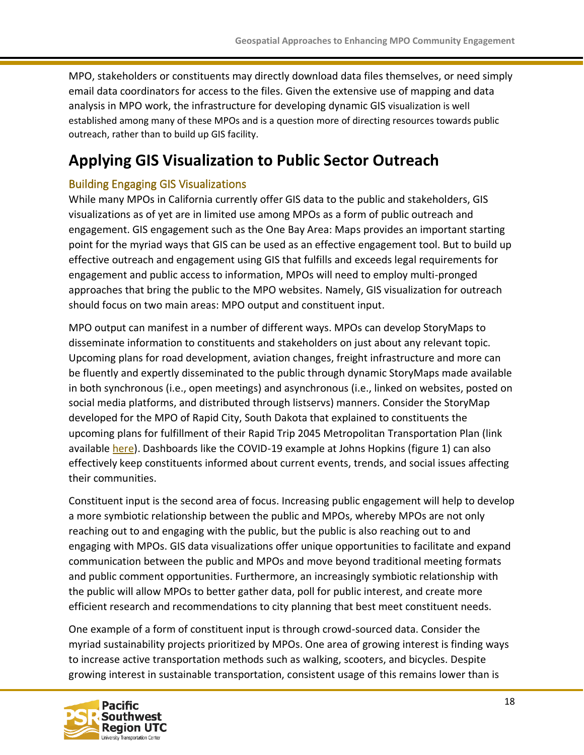MPO, stakeholders or constituents may directly download data files themselves, or need simply email data coordinators for access to the files. Given the extensive use of mapping and data analysis in MPO work, the infrastructure for developing dynamic GIS visualization is well established among many of these MPOs and is a question more of directing resources towards public outreach, rather than to build up GIS facility.

### <span id="page-17-0"></span>**Applying GIS Visualization to Public Sector Outreach**

#### <span id="page-17-1"></span>Building Engaging GIS Visualizations

While many MPOs in California currently offer GIS data to the public and stakeholders, GIS visualizations as of yet are in limited use among MPOs as a form of public outreach and engagement. GIS engagement such as the One Bay Area: Maps provides an important starting point for the myriad ways that GIS can be used as an effective engagement tool. But to build up effective outreach and engagement using GIS that fulfills and exceeds legal requirements for engagement and public access to information, MPOs will need to employ multi-pronged approaches that bring the public to the MPO websites. Namely, GIS visualization for outreach should focus on two main areas: MPO output and constituent input.

MPO output can manifest in a number of different ways. MPOs can develop StoryMaps to disseminate information to constituents and stakeholders on just about any relevant topic. Upcoming plans for road development, aviation changes, freight infrastructure and more can be fluently and expertly disseminated to the public through dynamic StoryMaps made available in both synchronous (i.e., open meetings) and asynchronous (i.e., linked on websites, posted on social media platforms, and distributed through listservs) manners. Consider the StoryMap developed for the MPO of Rapid City, South Dakota that explained to constituents the upcoming plans for fulfillment of their Rapid Trip 2045 Metropolitan Transportation Plan (link available [here\)](https://hdr.maps.arcgis.com/apps/MapSeries/index.html?appid=50f4c4eba3254b1db8ffc8a65e4364ea). Dashboards like the COVID-19 example at Johns Hopkins (figure 1) can also effectively keep constituents informed about current events, trends, and social issues affecting their communities.

Constituent input is the second area of focus. Increasing public engagement will help to develop a more symbiotic relationship between the public and MPOs, whereby MPOs are not only reaching out to and engaging with the public, but the public is also reaching out to and engaging with MPOs. GIS data visualizations offer unique opportunities to facilitate and expand communication between the public and MPOs and move beyond traditional meeting formats and public comment opportunities. Furthermore, an increasingly symbiotic relationship with the public will allow MPOs to better gather data, poll for public interest, and create more efficient research and recommendations to city planning that best meet constituent needs.

One example of a form of constituent input is through crowd-sourced data. Consider the myriad sustainability projects prioritized by MPOs. One area of growing interest is finding ways to increase active transportation methods such as walking, scooters, and bicycles. Despite growing interest in sustainable transportation, consistent usage of this remains lower than is

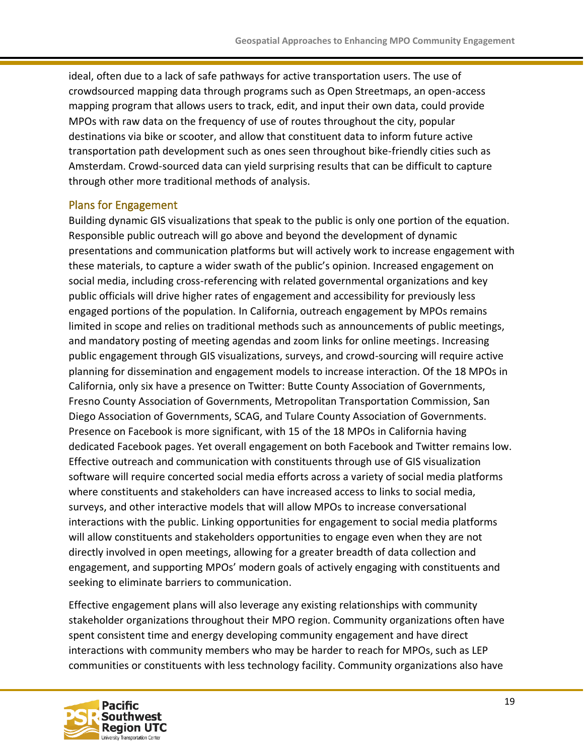ideal, often due to a lack of safe pathways for active transportation users. The use of crowdsourced mapping data through programs such as Open Streetmaps, an open-access mapping program that allows users to track, edit, and input their own data, could provide MPOs with raw data on the frequency of use of routes throughout the city, popular destinations via bike or scooter, and allow that constituent data to inform future active transportation path development such as ones seen throughout bike-friendly cities such as Amsterdam. Crowd-sourced data can yield surprising results that can be difficult to capture through other more traditional methods of analysis.

#### <span id="page-18-0"></span>Plans for Engagement

Building dynamic GIS visualizations that speak to the public is only one portion of the equation. Responsible public outreach will go above and beyond the development of dynamic presentations and communication platforms but will actively work to increase engagement with these materials, to capture a wider swath of the public's opinion. Increased engagement on social media, including cross-referencing with related governmental organizations and key public officials will drive higher rates of engagement and accessibility for previously less engaged portions of the population. In California, outreach engagement by MPOs remains limited in scope and relies on traditional methods such as announcements of public meetings, and mandatory posting of meeting agendas and zoom links for online meetings. Increasing public engagement through GIS visualizations, surveys, and crowd-sourcing will require active planning for dissemination and engagement models to increase interaction. Of the 18 MPOs in California, only six have a presence on Twitter: Butte County Association of Governments, Fresno County Association of Governments, Metropolitan Transportation Commission, San Diego Association of Governments, SCAG, and Tulare County Association of Governments. Presence on Facebook is more significant, with 15 of the 18 MPOs in California having dedicated Facebook pages. Yet overall engagement on both Facebook and Twitter remains low. Effective outreach and communication with constituents through use of GIS visualization software will require concerted social media efforts across a variety of social media platforms where constituents and stakeholders can have increased access to links to social media, surveys, and other interactive models that will allow MPOs to increase conversational interactions with the public. Linking opportunities for engagement to social media platforms will allow constituents and stakeholders opportunities to engage even when they are not directly involved in open meetings, allowing for a greater breadth of data collection and engagement, and supporting MPOs' modern goals of actively engaging with constituents and seeking to eliminate barriers to communication.

Effective engagement plans will also leverage any existing relationships with community stakeholder organizations throughout their MPO region. Community organizations often have spent consistent time and energy developing community engagement and have direct interactions with community members who may be harder to reach for MPOs, such as LEP communities or constituents with less technology facility. Community organizations also have

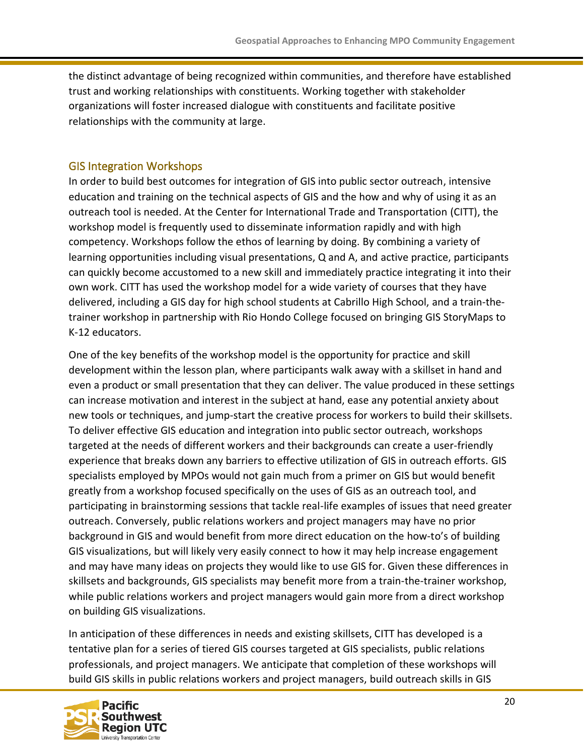the distinct advantage of being recognized within communities, and therefore have established trust and working relationships with constituents. Working together with stakeholder organizations will foster increased dialogue with constituents and facilitate positive relationships with the community at large.

#### <span id="page-19-0"></span>GIS Integration Workshops

In order to build best outcomes for integration of GIS into public sector outreach, intensive education and training on the technical aspects of GIS and the how and why of using it as an outreach tool is needed. At the Center for International Trade and Transportation (CITT), the workshop model is frequently used to disseminate information rapidly and with high competency. Workshops follow the ethos of learning by doing. By combining a variety of learning opportunities including visual presentations, Q and A, and active practice, participants can quickly become accustomed to a new skill and immediately practice integrating it into their own work. CITT has used the workshop model for a wide variety of courses that they have delivered, including a GIS day for high school students at Cabrillo High School, and a train-thetrainer workshop in partnership with Rio Hondo College focused on bringing GIS StoryMaps to K-12 educators.

One of the key benefits of the workshop model is the opportunity for practice and skill development within the lesson plan, where participants walk away with a skillset in hand and even a product or small presentation that they can deliver. The value produced in these settings can increase motivation and interest in the subject at hand, ease any potential anxiety about new tools or techniques, and jump-start the creative process for workers to build their skillsets. To deliver effective GIS education and integration into public sector outreach, workshops targeted at the needs of different workers and their backgrounds can create a user-friendly experience that breaks down any barriers to effective utilization of GIS in outreach efforts. GIS specialists employed by MPOs would not gain much from a primer on GIS but would benefit greatly from a workshop focused specifically on the uses of GIS as an outreach tool, and participating in brainstorming sessions that tackle real-life examples of issues that need greater outreach. Conversely, public relations workers and project managers may have no prior background in GIS and would benefit from more direct education on the how-to's of building GIS visualizations, but will likely very easily connect to how it may help increase engagement and may have many ideas on projects they would like to use GIS for. Given these differences in skillsets and backgrounds, GIS specialists may benefit more from a train-the-trainer workshop, while public relations workers and project managers would gain more from a direct workshop on building GIS visualizations.

In anticipation of these differences in needs and existing skillsets, CITT has developed is a tentative plan for a series of tiered GIS courses targeted at GIS specialists, public relations professionals, and project managers. We anticipate that completion of these workshops will build GIS skills in public relations workers and project managers, build outreach skills in GIS

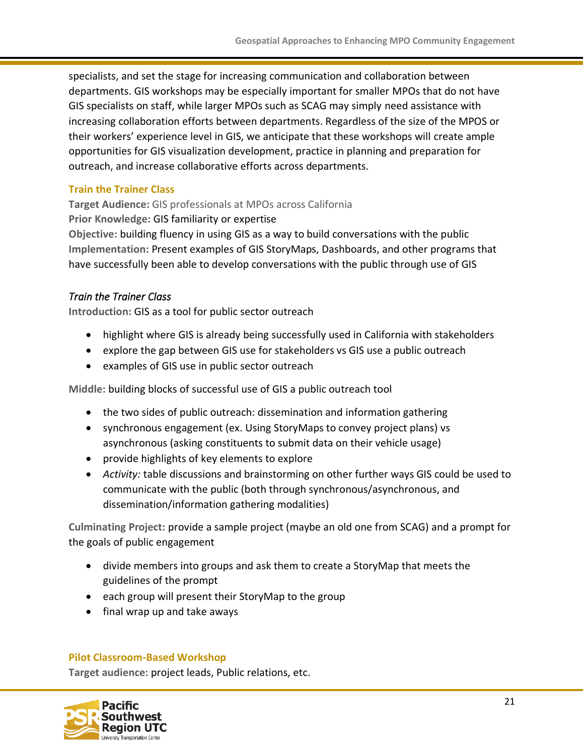specialists, and set the stage for increasing communication and collaboration between departments. GIS workshops may be especially important for smaller MPOs that do not have GIS specialists on staff, while larger MPOs such as SCAG may simply need assistance with increasing collaboration efforts between departments. Regardless of the size of the MPOS or their workers' experience level in GIS, we anticipate that these workshops will create ample opportunities for GIS visualization development, practice in planning and preparation for outreach, and increase collaborative efforts across departments.

#### <span id="page-20-0"></span>**Train the Trainer Class**

**Target Audience:** GIS professionals at MPOs across California

**Prior Knowledge:** GIS familiarity or expertise

**Objective:** building fluency in using GIS as a way to build conversations with the public **Implementation:** Present examples of GIS StoryMaps, Dashboards, and other programs that have successfully been able to develop conversations with the public through use of GIS

#### *Train the Trainer Class*

**Introduction:** GIS as a tool for public sector outreach

- highlight where GIS is already being successfully used in California with stakeholders
- explore the gap between GIS use for stakeholders vs GIS use a public outreach
- examples of GIS use in public sector outreach

**Middle:** building blocks of successful use of GIS a public outreach tool

- the two sides of public outreach: dissemination and information gathering
- synchronous engagement (ex. Using StoryMaps to convey project plans) vs asynchronous (asking constituents to submit data on their vehicle usage)
- provide highlights of key elements to explore
- *Activity:* table discussions and brainstorming on other further ways GIS could be used to communicate with the public (both through synchronous/asynchronous, and dissemination/information gathering modalities)

**Culminating Project:** provide a sample project (maybe an old one from SCAG) and a prompt for the goals of public engagement

- divide members into groups and ask them to create a StoryMap that meets the guidelines of the prompt
- each group will present their StoryMap to the group
- final wrap up and take aways

#### <span id="page-20-1"></span>**Pilot Classroom-Based Workshop**

**Target audience:** project leads, Public relations, etc.

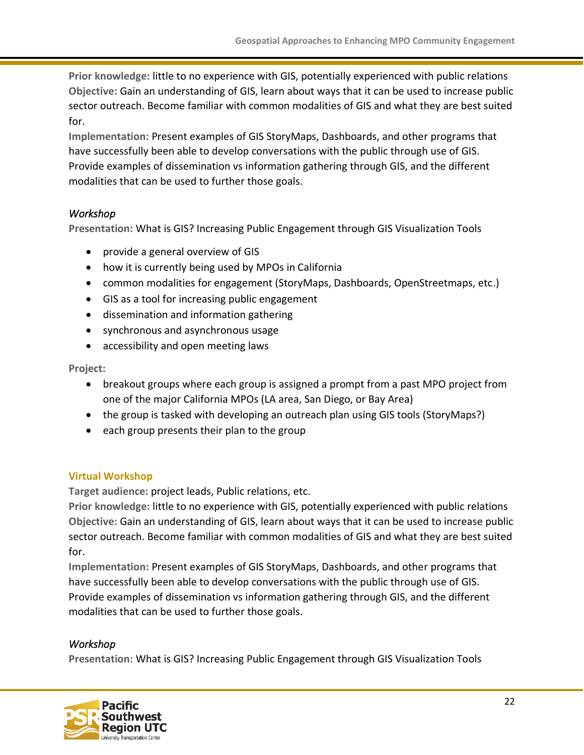**Prior knowledge:** little to no experience with GIS, potentially experienced with public relations **Objective:** Gain an understanding of GIS, learn about ways that it can be used to increase public sector outreach. Become familiar with common modalities of GIS and what they are best suited for.

**Implementation:** Present examples of GIS StoryMaps, Dashboards, and other programs that have successfully been able to develop conversations with the public through use of GIS. Provide examples of dissemination vs information gathering through GIS, and the different modalities that can be used to further those goals.

#### *Workshop*

**Presentation:** What is GIS? Increasing Public Engagement through GIS Visualization Tools

- provide a general overview of GIS
- how it is currently being used by MPOs in California
- common modalities for engagement (StoryMaps, Dashboards, OpenStreetmaps, etc.)
- GIS as a tool for increasing public engagement
- dissemination and information gathering
- synchronous and asynchronous usage
- accessibility and open meeting laws

**Project:** 

- breakout groups where each group is assigned a prompt from a past MPO project from one of the major California MPOs (LA area, San Diego, or Bay Area)
- the group is tasked with developing an outreach plan using GIS tools (StoryMaps?)
- each group presents their plan to the group

#### <span id="page-21-0"></span>**Virtual Workshop**

**Target audience:** project leads, Public relations, etc.

**Prior knowledge:** little to no experience with GIS, potentially experienced with public relations **Objective:** Gain an understanding of GIS, learn about ways that it can be used to increase public sector outreach. Become familiar with common modalities of GIS and what they are best suited for.

**Implementation:** Present examples of GIS StoryMaps, Dashboards, and other programs that have successfully been able to develop conversations with the public through use of GIS. Provide examples of dissemination vs information gathering through GIS, and the different modalities that can be used to further those goals.

#### *Workshop*

**Presentation:** What is GIS? Increasing Public Engagement through GIS Visualization Tools

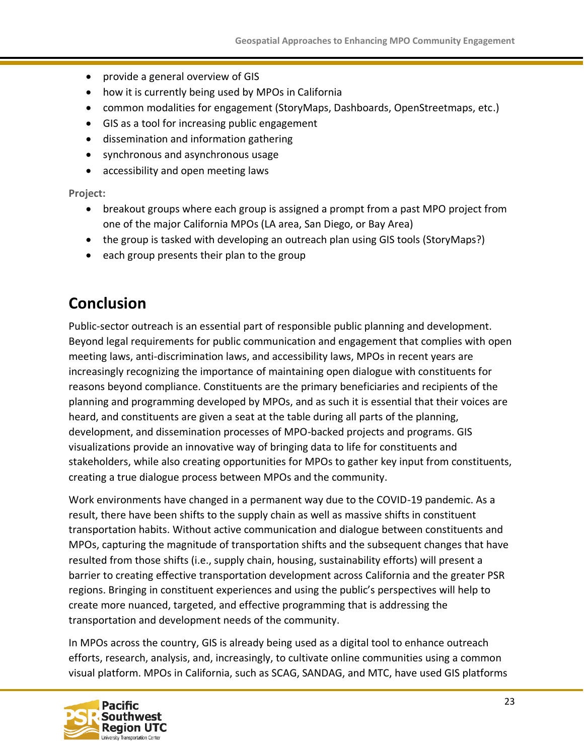- provide a general overview of GIS
- how it is currently being used by MPOs in California
- common modalities for engagement (StoryMaps, Dashboards, OpenStreetmaps, etc.)
- GIS as a tool for increasing public engagement
- dissemination and information gathering
- synchronous and asynchronous usage
- accessibility and open meeting laws

**Project:** 

- breakout groups where each group is assigned a prompt from a past MPO project from one of the major California MPOs (LA area, San Diego, or Bay Area)
- the group is tasked with developing an outreach plan using GIS tools (StoryMaps?)
- each group presents their plan to the group

### <span id="page-22-0"></span>**Conclusion**

Public-sector outreach is an essential part of responsible public planning and development. Beyond legal requirements for public communication and engagement that complies with open meeting laws, anti-discrimination laws, and accessibility laws, MPOs in recent years are increasingly recognizing the importance of maintaining open dialogue with constituents for reasons beyond compliance. Constituents are the primary beneficiaries and recipients of the planning and programming developed by MPOs, and as such it is essential that their voices are heard, and constituents are given a seat at the table during all parts of the planning, development, and dissemination processes of MPO-backed projects and programs. GIS visualizations provide an innovative way of bringing data to life for constituents and stakeholders, while also creating opportunities for MPOs to gather key input from constituents, creating a true dialogue process between MPOs and the community.

Work environments have changed in a permanent way due to the COVID-19 pandemic. As a result, there have been shifts to the supply chain as well as massive shifts in constituent transportation habits. Without active communication and dialogue between constituents and MPOs, capturing the magnitude of transportation shifts and the subsequent changes that have resulted from those shifts (i.e., supply chain, housing, sustainability efforts) will present a barrier to creating effective transportation development across California and the greater PSR regions. Bringing in constituent experiences and using the public's perspectives will help to create more nuanced, targeted, and effective programming that is addressing the transportation and development needs of the community.

In MPOs across the country, GIS is already being used as a digital tool to enhance outreach efforts, research, analysis, and, increasingly, to cultivate online communities using a common visual platform. MPOs in California, such as SCAG, SANDAG, and MTC, have used GIS platforms

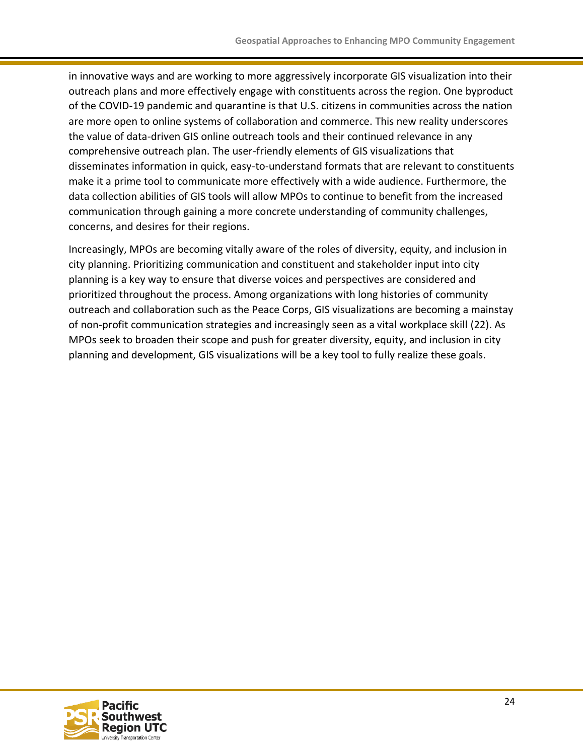in innovative ways and are working to more aggressively incorporate GIS visualization into their outreach plans and more effectively engage with constituents across the region. One byproduct of the COVID-19 pandemic and quarantine is that U.S. citizens in communities across the nation are more open to online systems of collaboration and commerce. This new reality underscores the value of data-driven GIS online outreach tools and their continued relevance in any comprehensive outreach plan. The user-friendly elements of GIS visualizations that disseminates information in quick, easy-to-understand formats that are relevant to constituents make it a prime tool to communicate more effectively with a wide audience. Furthermore, the data collection abilities of GIS tools will allow MPOs to continue to benefit from the increased communication through gaining a more concrete understanding of community challenges, concerns, and desires for their regions.

Increasingly, MPOs are becoming vitally aware of the roles of diversity, equity, and inclusion in city planning. Prioritizing communication and constituent and stakeholder input into city planning is a key way to ensure that diverse voices and perspectives are considered and prioritized throughout the process. Among organizations with long histories of community outreach and collaboration such as the Peace Corps, GIS visualizations are becoming a mainstay of non-profit communication strategies and increasingly seen as a vital workplace skill (22). As MPOs seek to broaden their scope and push for greater diversity, equity, and inclusion in city planning and development, GIS visualizations will be a key tool to fully realize these goals.

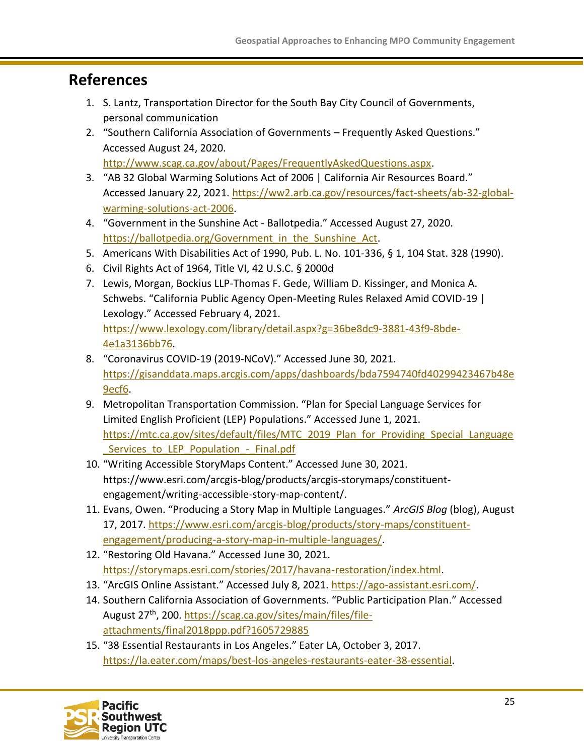### <span id="page-24-0"></span>**References**

- 1. S. Lantz, Transportation Director for the South Bay City Council of Governments, personal communication
- 2. "Southern California Association of Governments Frequently Asked Questions." Accessed August 24, 2020. [http://www.scag.ca.gov/about/Pages/FrequentlyAskedQuestions.aspx.](http://www.scag.ca.gov/about/Pages/FrequentlyAskedQuestions.aspx)
- 3. "AB 32 Global Warming Solutions Act of 2006 | California Air Resources Board." Accessed January 22, 2021. [https://ww2.arb.ca.gov/resources/fact-sheets/ab-32-global](https://ww2.arb.ca.gov/resources/fact-sheets/ab-32-global-warming-solutions-act-2006)[warming-solutions-act-2006.](https://ww2.arb.ca.gov/resources/fact-sheets/ab-32-global-warming-solutions-act-2006)
- 4. "Government in the Sunshine Act Ballotpedia." Accessed August 27, 2020. [https://ballotpedia.org/Government\\_in\\_the\\_Sunshine\\_Act.](https://ballotpedia.org/Government_in_the_Sunshine_Act)
- 5. Americans With Disabilities Act of 1990, Pub. L. No. 101-336, § 1, 104 Stat. 328 (1990).
- 6. Civil Rights Act of 1964, Title VI, 42 U.S.C. § 2000d
- 7. Lewis, Morgan, Bockius LLP-Thomas F. Gede, William D. Kissinger, and Monica A. Schwebs. "California Public Agency Open-Meeting Rules Relaxed Amid COVID-19 | Lexology." Accessed February 4, 2021. [https://www.lexology.com/library/detail.aspx?g=36be8dc9-3881-43f9-8bde-](https://www.lexology.com/library/detail.aspx?g=36be8dc9-3881-43f9-8bde-4e1a3136bb76)[4e1a3136bb76.](https://www.lexology.com/library/detail.aspx?g=36be8dc9-3881-43f9-8bde-4e1a3136bb76)
- 8. "Coronavirus COVID-19 (2019-NCoV)." Accessed June 30, 2021. [https://gisanddata.maps.arcgis.com/apps/dashboards/bda7594740fd40299423467b48e](https://gisanddata.maps.arcgis.com/apps/dashboards/bda7594740fd40299423467b48e9ecf6) [9ecf6.](https://gisanddata.maps.arcgis.com/apps/dashboards/bda7594740fd40299423467b48e9ecf6)
- 9. Metropolitan Transportation Commission. "Plan for Special Language Services for Limited English Proficient (LEP) Populations." Accessed June 1, 2021. [https://mtc.ca.gov/sites/default/files/MTC\\_2019\\_Plan\\_for\\_Providing\\_Special\\_Language](https://mtc.ca.gov/sites/default/files/MTC_2019_Plan_for_Providing_Special_Language_Services_to_LEP_Population_-_Final.pdf) Services to LEP Population - Final.pdf
- 10. "Writing Accessible StoryMaps Content." Accessed June 30, 2021. [https://www.esri.com/arcgis-blog/products/arcgis-storymaps/constituent](https://www.esri.com/arcgis-blog/products/arcgis-storymaps/constituent-engagement/writing-accessible-story-map-content/)[engagement/writing-accessible-story-map-content/.](https://www.esri.com/arcgis-blog/products/arcgis-storymaps/constituent-engagement/writing-accessible-story-map-content/)
- 11. Evans, Owen. "Producing a Story Map in Multiple Languages." *ArcGIS Blog* (blog), August 17, 2017. [https://www.esri.com/arcgis-blog/products/story-maps/constituent](https://www.esri.com/arcgis-blog/products/story-maps/constituent-engagement/producing-a-story-map-in-multiple-languages/)[engagement/producing-a-story-map-in-multiple-languages/.](https://www.esri.com/arcgis-blog/products/story-maps/constituent-engagement/producing-a-story-map-in-multiple-languages/)
- 12. "Restoring Old Havana." Accessed June 30, 2021. [https://storymaps.esri.com/stories/2017/havana-restoration/index.html.](https://storymaps.esri.com/stories/2017/havana-restoration/index.html)
- 13. "ArcGIS Online Assistant." Accessed July 8, 2021. [https://ago-assistant.esri.com/.](https://ago-assistant.esri.com/)
- 14. Southern California Association of Governments. "Public Participation Plan." Accessed August 27<sup>th</sup>, 200. [https://scag.ca.gov/sites/main/files/file](https://scag.ca.gov/sites/main/files/file-attachments/final2018ppp.pdf?1605729885)[attachments/final2018ppp.pdf?1605729885](https://scag.ca.gov/sites/main/files/file-attachments/final2018ppp.pdf?1605729885)
- 15. "38 Essential Restaurants in Los Angeles." Eater LA, October 3, 2017. [https://la.eater.com/maps/best-los-angeles-restaurants-eater-38-essential.](https://la.eater.com/maps/best-los-angeles-restaurants-eater-38-essential)